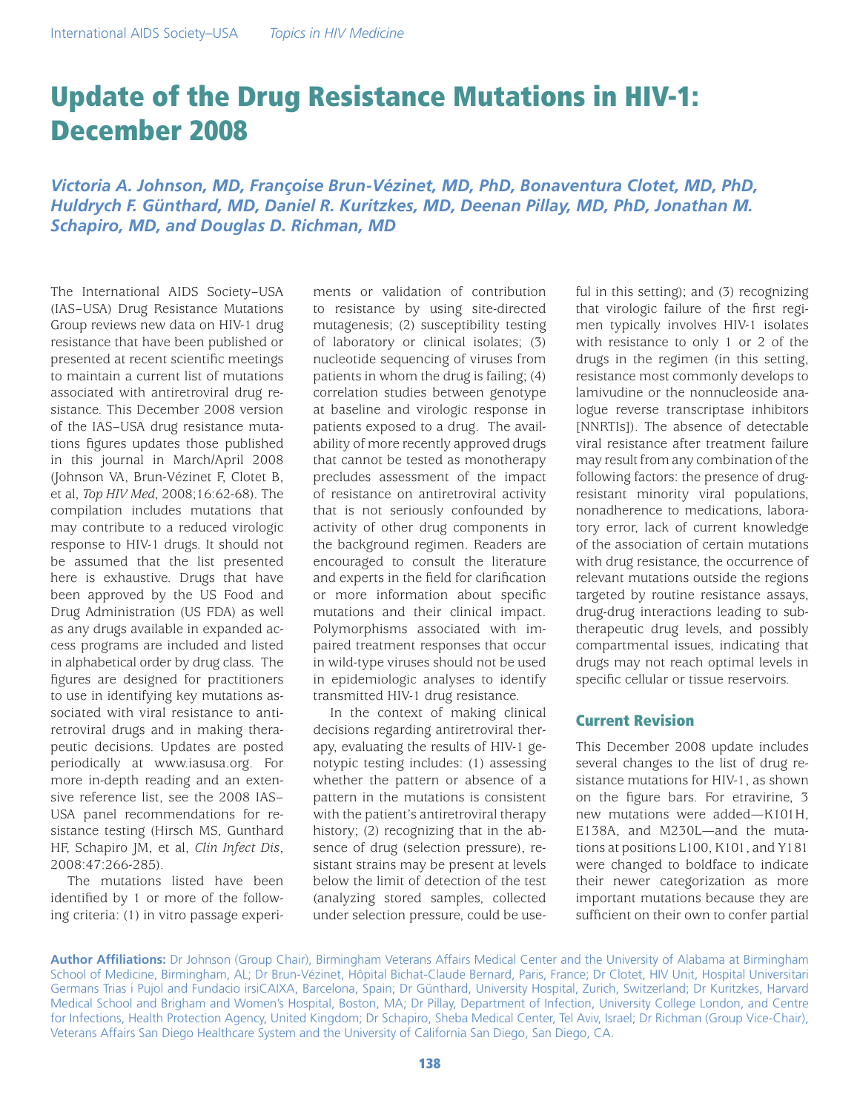# Update of the Drug Resistance Mutations in HIV-1: December 2008

*Victoria A. Johnson, MD, Françoise Brun-Vézinet, MD, PhD, Bonaventura Clotet, MD, PhD, Huldrych F. Günthard, MD, Daniel R. Kuritzkes, MD, Deenan Pillay, MD, PhD, Jonathan M. Schapiro, MD, and Douglas D. Richman, MD*

The International AIDS Society–USA (IAS–USA) Drug Resistance Mutations Group reviews new data on HIV-1 drug resistance that have been published or presented at recent scientific meetings to maintain a current list of mutations associated with antiretroviral drug resistance. This December 2008 version of the IAS–USA drug resistance mutations figures updates those published in this journal in March/April 2008 (Johnson VA, Brun-Vézinet F, Clotet B, et al, *Top HIV Med*, 2008;16:62-68). The compilation includes mutations that may contribute to a reduced virologic response to HIV-1 drugs. It should not be assumed that the list presented here is exhaustive. Drugs that have been approved by the US Food and Drug Administration (US FDA) as well as any drugs available in expanded access programs are included and listed in alphabetical order by drug class. The figures are designed for practitioners to use in identifying key mutations associated with viral resistance to antiretroviral drugs and in making therapeutic decisions. Updates are posted periodically at www.iasusa.org. For more in-depth reading and an extensive reference list, see the 2008 IAS– USA panel recommendations for resistance testing (Hirsch MS, Gunthard HF, Schapiro JM, et al, *Clin Infect Dis*, 2008:47:266-285).

The mutations listed have been identified by 1 or more of the following criteria: (1) in vitro passage experiments or validation of contribution to resistance by using site-directed mutagenesis; (2) susceptibility testing of laboratory or clinical isolates; (3) nucleotide sequencing of viruses from patients in whom the drug is failing; (4) correlation studies between genotype at baseline and virologic response in patients exposed to a drug. The availability of more recently approved drugs that cannot be tested as monotherapy precludes assessment of the impact of resistance on antiretroviral activity that is not seriously confounded by activity of other drug components in the background regimen. Readers are encouraged to consult the literature and experts in the field for clarification or more information about specific mutations and their clinical impact. Polymorphisms associated with impaired treatment responses that occur in wild-type viruses should not be used in epidemiologic analyses to identify transmitted HIV-1 drug resistance.

In the context of making clinical decisions regarding antiretroviral therapy, evaluating the results of HIV-1 genotypic testing includes: (1) assessing whether the pattern or absence of a pattern in the mutations is consistent with the patient's antiretroviral therapy history; (2) recognizing that in the absence of drug (selection pressure), resistant strains may be present at levels below the limit of detection of the test (analyzing stored samples, collected under selection pressure, could be useful in this setting); and (3) recognizing that virologic failure of the first regimen typically involves HIV-1 isolates with resistance to only 1 or 2 of the drugs in the regimen (in this setting, resistance most commonly develops to lamivudine or the nonnucleoside analogue reverse transcriptase inhibitors [NNRTIs]). The absence of detectable viral resistance after treatment failure may result from any combination of the following factors: the presence of drugresistant minority viral populations, nonadherence to medications, laboratory error, lack of current knowledge of the association of certain mutations with drug resistance, the occurrence of relevant mutations outside the regions targeted by routine resistance assays, drug-drug interactions leading to subtherapeutic drug levels, and possibly compartmental issues, indicating that drugs may not reach optimal levels in specific cellular or tissue reservoirs.

# Current Revision

This December 2008 update includes several changes to the list of drug resistance mutations for HIV-1, as shown on the figure bars. For etravirine, 3 new mutations were added—K101H, E138A, and M230L—and the mutations at positions L100, K101, and Y181 were changed to boldface to indicate their newer categorization as more important mutations because they are sufficient on their own to confer partial

**Author Affiliations:** Dr Johnson (Group Chair), Birmingham Veterans Affairs Medical Center and the University of Alabama at Birmingham School of Medicine, Birmingham, AL; Dr Brun-Vézinet, Hôpital Bichat-Claude Bernard, Paris, France; Dr Clotet, HIV Unit, Hospital Universitari Germans Trias i Pujol and Fundacio irsiCAIXA, Barcelona, Spain; Dr Günthard, University Hospital, Zurich, Switzerland; Dr Kuritzkes, Harvard Medical School and Brigham and Women's Hospital, Boston, MA; Dr Pillay, Department of Infection, University College London, and Centre for Infections, Health Protection Agency, United Kingdom; Dr Schapiro, Sheba Medical Center, Tel Aviv, Israel; Dr Richman (Group Vice-Chair), Veterans Affairs San Diego Healthcare System and the University of California San Diego, San Diego, CA.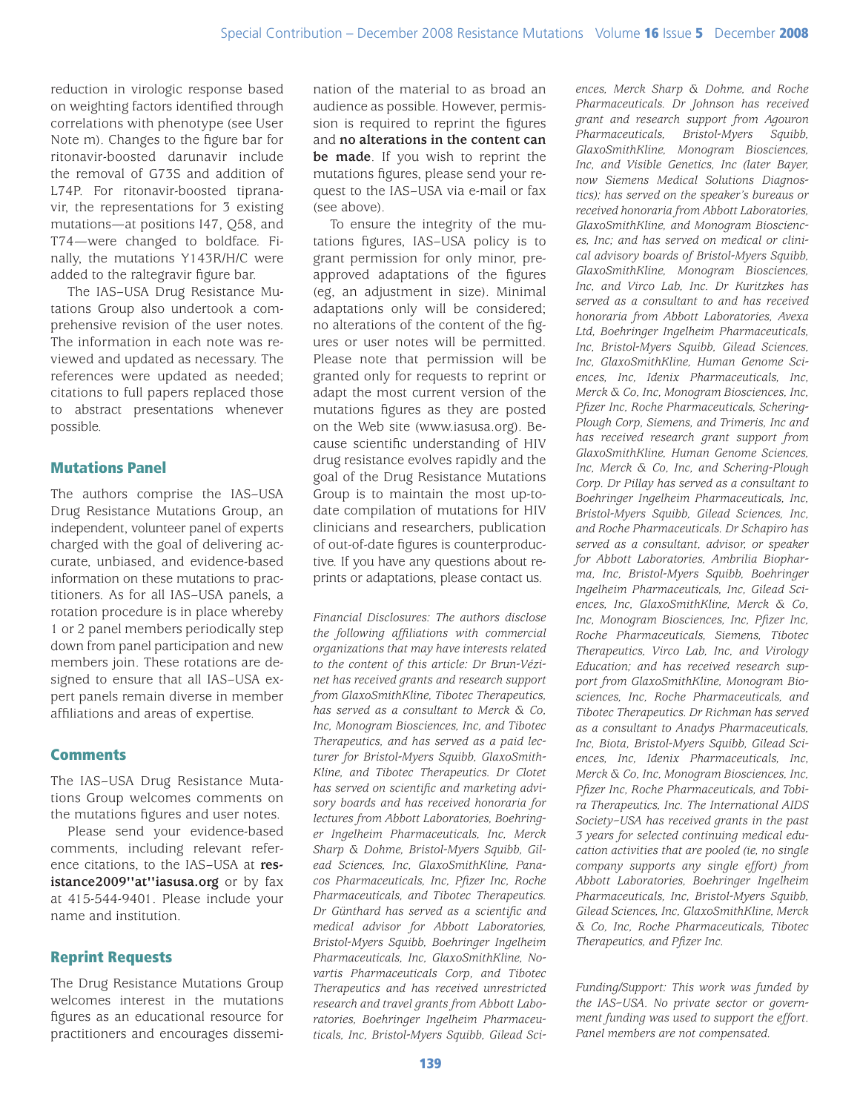reduction in virologic response based on weighting factors identified through correlations with phenotype (see User Note m). Changes to the figure bar for ritonavir-boosted darunavir include the removal of G73S and addition of L74P. For ritonavir-boosted tipranavir, the representations for 3 existing mutations—at positions I47, Q58, and T74—were changed to boldface. Finally, the mutations Y143R/H/C were added to the raltegravir figure bar.

The IAS–USA Drug Resistance Mutations Group also undertook a comprehensive revision of the user notes. The information in each note was reviewed and updated as necessary. The references were updated as needed; citations to full papers replaced those to abstract presentations whenever possible.

# Mutations Panel

The authors comprise the IAS–USA Drug Resistance Mutations Group, an independent, volunteer panel of experts charged with the goal of delivering accurate, unbiased, and evidence-based information on these mutations to practitioners. As for all IAS–USA panels, a rotation procedure is in place whereby 1 or 2 panel members periodically step down from panel participation and new members join. These rotations are designed to ensure that all IAS–USA expert panels remain diverse in member affiliations and areas of expertise.

## **Comments**

The IAS–USA Drug Resistance Mutations Group welcomes comments on the mutations figures and user notes.

Please send your evidence-based comments, including relevant reference citations, to the IAS–USA at **resistance2009''at''iasusa.org** or by fax at 415-544-9401. Please include your name and institution.

# Reprint Requests

The Drug Resistance Mutations Group welcomes interest in the mutations figures as an educational resource for practitioners and encourages dissemination of the material to as broad an audience as possible. However, permission is required to reprint the figures and **no alterations in the content can be made**. If you wish to reprint the mutations figures, please send your request to the IAS–USA via e-mail or fax (see above).

To ensure the integrity of the mutations figures, IAS–USA policy is to grant permission for only minor, preapproved adaptations of the figures (eg, an adjustment in size). Minimal adaptations only will be considered; no alterations of the content of the figures or user notes will be permitted. Please note that permission will be granted only for requests to reprint or adapt the most current version of the mutations figures as they are posted on the Web site (www.iasusa.org). Because scientific understanding of HIV drug resistance evolves rapidly and the goal of the Drug Resistance Mutations Group is to maintain the most up-todate compilation of mutations for HIV clinicians and researchers, publication of out-of-date figures is counterproductive. If you have any questions about reprints or adaptations, please contact us.

*Financial Disclosures: The authors disclose the following affiliations with commercial organizations that may have interests related to the content of this article: Dr Brun-Vézinet has received grants and research support from GlaxoSmithKline, Tibotec Therapeutics, has served as a consultant to Merck & Co, Inc, Monogram Biosciences, Inc, and Tibotec Therapeutics, and has served as a paid lecturer for Bristol-Myers Squibb, GlaxoSmith-Kline, and Tibotec Therapeutics. Dr Clotet has served on scientific and marketing advisory boards and has received honoraria for lectures from Abbott Laboratories, Boehringer Ingelheim Pharmaceuticals, Inc, Merck Sharp & Dohme, Bristol-Myers Squibb, Gilead Sciences, Inc, GlaxoSmithKline, Panacos Pharmaceuticals, Inc, Pfizer Inc, Roche Pharmaceuticals, and Tibotec Therapeutics. Dr Günthard has served as a scientific and medical advisor for Abbott Laboratories, Bristol-Myers Squibb, Boehringer Ingelheim Pharmaceuticals, Inc, GlaxoSmithKline, Novartis Pharmaceuticals Corp, and Tibotec Therapeutics and has received unrestricted research and travel grants from Abbott Laboratories, Boehringer Ingelheim Pharmaceuticals, Inc, Bristol-Myers Squibb, Gilead Sci-*

*ences, Merck Sharp & Dohme, and Roche Pharmaceuticals. Dr Johnson has received grant and research support from Agouron Pharmaceuticals, Bristol-Myers Squibb, GlaxoSmithKline, Monogram Biosciences, Inc, and Visible Genetics, Inc (later Bayer, now Siemens Medical Solutions Diagnostics); has served on the speaker's bureaus or received honoraria from Abbott Laboratories, GlaxoSmithKline, and Monogram Biosciences, Inc; and has served on medical or clinical advisory boards of Bristol-Myers Squibb, GlaxoSmithKline, Monogram Biosciences, Inc, and Virco Lab, Inc. Dr Kuritzkes has served as a consultant to and has received honoraria from Abbott Laboratories, Avexa Ltd, Boehringer Ingelheim Pharmaceuticals, Inc, Bristol-Myers Squibb, Gilead Sciences, Inc, GlaxoSmithKline, Human Genome Sciences, Inc, Idenix Pharmaceuticals, Inc, Merck & Co, Inc, Monogram Biosciences, Inc, Pfizer Inc, Roche Pharmaceuticals, Schering-Plough Corp, Siemens, and Trimeris, Inc and has received research grant support from GlaxoSmithKline, Human Genome Sciences, Inc, Merck & Co, Inc, and Schering-Plough Corp. Dr Pillay has served as a consultant to Boehringer Ingelheim Pharmaceuticals, Inc, Bristol-Myers Squibb, Gilead Sciences, Inc, and Roche Pharmaceuticals. Dr Schapiro has served as a consultant, advisor, or speaker for Abbott Laboratories, Ambrilia Biopharma, Inc, Bristol-Myers Squibb, Boehringer Ingelheim Pharmaceuticals, Inc, Gilead Sciences, Inc, GlaxoSmithKline, Merck & Co, Inc, Monogram Biosciences, Inc, Pfizer Inc, Roche Pharmaceuticals, Siemens, Tibotec Therapeutics, Virco Lab, Inc, and Virology Education; and has received research support from GlaxoSmithKline, Monogram Biosciences, Inc, Roche Pharmaceuticals, and Tibotec Therapeutics. Dr Richman has served as a consultant to Anadys Pharmaceuticals, Inc, Biota, Bristol-Myers Squibb, Gilead Sciences, Inc, Idenix Pharmaceuticals, Inc, Merck & Co, Inc, Monogram Biosciences, Inc, Pfizer Inc, Roche Pharmaceuticals, and Tobira Therapeutics, Inc. The International AIDS Society–USA has received grants in the past 3 years for selected continuing medical education activities that are pooled (ie, no single company supports any single effort) from Abbott Laboratories, Boehringer Ingelheim Pharmaceuticals, Inc, Bristol-Myers Squibb, Gilead Sciences, Inc, GlaxoSmithKline, Merck & Co, Inc, Roche Pharmaceuticals, Tibotec Therapeutics, and Pfizer Inc.*

*Funding/Support: This work was funded by the IAS–USA. No private sector or government funding was used to support the effort. Panel members are not compensated.*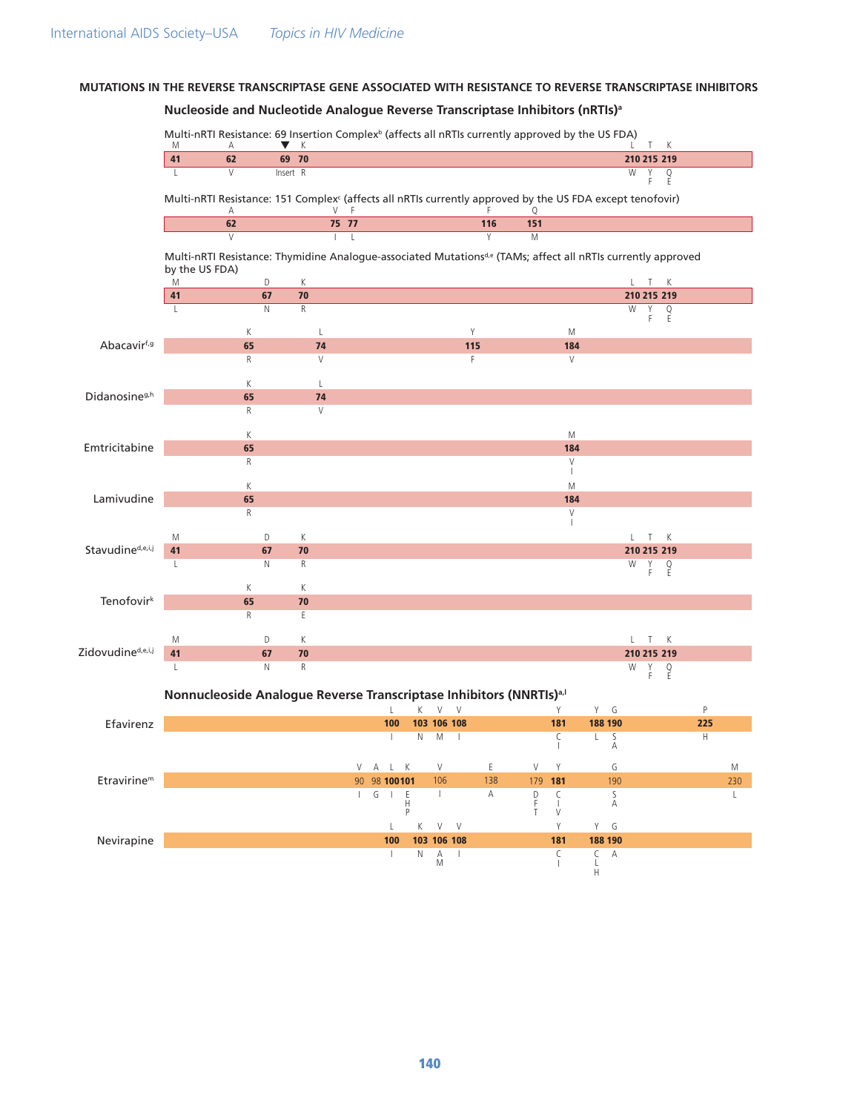# MUTATIONS IN THE REVERSE TRANSCRIPTASE GENE ASSOCIATED WITH RESISTANCE TO REVERSE TRANSCRIPTASE INHIBITORS

# Nucleoside and Nucleotide Analogue Reverse Transcriptase Inhibitors (nRTIs)<sup>a</sup>

|                                            | M                  | Multi-nRTI Resistance: 69 Insertion Complex <sup>b</sup> (affects all nRTIs currently approved by the US FDA)<br>K<br>Α<br>v<br>Κ<br>Т |          |                   |                                                                                                                              |                                                                                                                                                                                                    |                |              |     |             |                   |                        |             |                      |     |          |
|--------------------------------------------|--------------------|----------------------------------------------------------------------------------------------------------------------------------------|----------|-------------------|------------------------------------------------------------------------------------------------------------------------------|----------------------------------------------------------------------------------------------------------------------------------------------------------------------------------------------------|----------------|--------------|-----|-------------|-------------------|------------------------|-------------|----------------------|-----|----------|
|                                            | 41                 | 62                                                                                                                                     |          | 69 70             |                                                                                                                              |                                                                                                                                                                                                    |                |              |     |             |                   |                        |             | 210 215 219          |     |          |
|                                            | $\mathsf{L}$       | V                                                                                                                                      | Insert R |                   |                                                                                                                              |                                                                                                                                                                                                    |                |              |     |             |                   |                        | W           | Υ<br>$\frac{Q}{E}$   |     |          |
|                                            |                    | Α                                                                                                                                      |          |                   | Multi-nRTI Resistance: 151 Complex <sup>c</sup> (affects all nRTIs currently approved by the US FDA except tenofovir)<br>V F |                                                                                                                                                                                                    |                |              | F   | Q           |                   |                        |             |                      |     |          |
|                                            |                    | 62                                                                                                                                     |          |                   | 75 77                                                                                                                        |                                                                                                                                                                                                    |                |              | 116 | 151         |                   |                        |             |                      |     |          |
|                                            |                    | $\overline{V}$                                                                                                                         |          |                   | $\mathsf{L}$                                                                                                                 |                                                                                                                                                                                                    |                |              | Y   | M           |                   |                        |             |                      |     |          |
|                                            |                    |                                                                                                                                        |          |                   | Multi-nRTI Resistance: Thymidine Analogue-associated Mutations <sup>de</sup> (TAMs; affect all nRTIs currently approved      |                                                                                                                                                                                                    |                |              |     |             |                   |                        |             |                      |     |          |
|                                            | by the US FDA)     |                                                                                                                                        |          |                   |                                                                                                                              |                                                                                                                                                                                                    |                |              |     |             |                   |                        |             |                      |     |          |
|                                            | M<br>41            |                                                                                                                                        | D<br>67  | К<br>70           |                                                                                                                              |                                                                                                                                                                                                    |                |              |     |             |                   |                        |             | L T K<br>210 215 219 |     |          |
|                                            | L                  |                                                                                                                                        | N        | ${\sf R}$         |                                                                                                                              |                                                                                                                                                                                                    |                |              |     |             |                   |                        | W           | Y                    |     |          |
|                                            |                    |                                                                                                                                        |          |                   |                                                                                                                              |                                                                                                                                                                                                    |                |              |     |             |                   |                        |             | Q<br>E<br>F.         |     |          |
| Abacavirf,g                                |                    | К                                                                                                                                      |          | L                 |                                                                                                                              |                                                                                                                                                                                                    |                | Y            |     |             | M                 |                        |             |                      |     |          |
|                                            |                    | 65<br>R                                                                                                                                |          | 74<br>V           |                                                                                                                              |                                                                                                                                                                                                    |                | 115<br>F     |     |             | 184<br>V          |                        |             |                      |     |          |
|                                            |                    |                                                                                                                                        |          |                   |                                                                                                                              |                                                                                                                                                                                                    |                |              |     |             |                   |                        |             |                      |     |          |
| Didanosine <sup>g,h</sup><br>Emtricitabine |                    | К                                                                                                                                      |          | $\mathsf{L}$      |                                                                                                                              |                                                                                                                                                                                                    |                |              |     |             |                   |                        |             |                      |     |          |
|                                            |                    | 65                                                                                                                                     |          | 74                |                                                                                                                              |                                                                                                                                                                                                    |                |              |     |             |                   |                        |             |                      |     |          |
|                                            |                    | R                                                                                                                                      |          | V                 |                                                                                                                              |                                                                                                                                                                                                    |                |              |     |             |                   |                        |             |                      |     |          |
|                                            |                    | К                                                                                                                                      |          |                   |                                                                                                                              |                                                                                                                                                                                                    |                |              |     |             | M                 |                        |             |                      |     |          |
|                                            |                    | 65                                                                                                                                     |          |                   |                                                                                                                              |                                                                                                                                                                                                    |                |              |     |             | 184               |                        |             |                      |     |          |
|                                            |                    | R                                                                                                                                      |          |                   |                                                                                                                              |                                                                                                                                                                                                    |                |              |     |             | V<br>$\mathbf{I}$ |                        |             |                      |     |          |
| Lamivudine                                 |                    | К                                                                                                                                      |          |                   |                                                                                                                              |                                                                                                                                                                                                    |                |              |     |             | M                 |                        |             |                      |     |          |
|                                            |                    | 65                                                                                                                                     |          |                   |                                                                                                                              |                                                                                                                                                                                                    |                |              |     |             | 184               |                        |             |                      |     |          |
|                                            |                    | R                                                                                                                                      |          |                   |                                                                                                                              |                                                                                                                                                                                                    |                |              |     |             | V<br>т            |                        |             |                      |     |          |
|                                            | M                  |                                                                                                                                        | D        | К                 |                                                                                                                              |                                                                                                                                                                                                    |                |              |     |             |                   |                        |             | К<br>T               |     |          |
| Stavudine <sup>d,e,i,j</sup>               | 41                 |                                                                                                                                        | 67       | 70                |                                                                                                                              |                                                                                                                                                                                                    |                |              |     |             |                   |                        |             | 210 215 219          |     |          |
|                                            | L                  |                                                                                                                                        | N        | R                 |                                                                                                                              |                                                                                                                                                                                                    |                |              |     |             |                   |                        | W           | Υ<br>$\frac{Q}{E}$   |     |          |
|                                            |                    |                                                                                                                                        |          |                   |                                                                                                                              |                                                                                                                                                                                                    |                |              |     |             |                   |                        |             | F                    |     |          |
| Tenofovir <sup>k</sup>                     |                    | К<br>65                                                                                                                                |          | К<br>70           |                                                                                                                              |                                                                                                                                                                                                    |                |              |     |             |                   |                        |             |                      |     |          |
|                                            |                    | R                                                                                                                                      |          | $\mathsf E$       |                                                                                                                              |                                                                                                                                                                                                    |                |              |     |             |                   |                        |             |                      |     |          |
|                                            |                    |                                                                                                                                        |          |                   |                                                                                                                              |                                                                                                                                                                                                    |                |              |     |             |                   |                        |             |                      |     |          |
| Zidovudine <sup>d,e,i,j</sup>              | M                  |                                                                                                                                        | D        | К                 |                                                                                                                              |                                                                                                                                                                                                    |                |              |     |             |                   |                        | L           | K<br>- T -           |     |          |
|                                            | 41<br>$\mathbf{L}$ |                                                                                                                                        | 67<br>N  | 70<br>$\mathsf R$ |                                                                                                                              |                                                                                                                                                                                                    |                |              |     |             |                   |                        | W           | 210 215 219<br>Υ     |     |          |
|                                            |                    |                                                                                                                                        |          |                   |                                                                                                                              |                                                                                                                                                                                                    |                |              |     |             |                   |                        |             | $\frac{Q}{E}$<br>F.  |     |          |
|                                            |                    |                                                                                                                                        |          |                   | Nonnucleoside Analogue Reverse Transcriptase Inhibitors (NNRTIs) <sup>a, I</sup>                                             |                                                                                                                                                                                                    |                |              |     |             |                   |                        |             |                      |     |          |
|                                            |                    |                                                                                                                                        |          |                   | $\mathbf{L}$                                                                                                                 | K.                                                                                                                                                                                                 | $\vee$         | V            |     |             | Υ                 | Y G                    |             |                      | P   |          |
| Efavirenz                                  |                    |                                                                                                                                        |          |                   | 100                                                                                                                          |                                                                                                                                                                                                    | 103 106 108    |              |     |             | 181               | 188 190                |             |                      | 225 |          |
|                                            |                    |                                                                                                                                        |          |                   | $\overline{1}$                                                                                                               | <sup>N</sup>                                                                                                                                                                                       | M              | $\perp$      |     |             | C                 | L                      | S<br>Α      |                      | H   |          |
|                                            |                    |                                                                                                                                        |          |                   | $V$ $A$ $L$ $K$                                                                                                              |                                                                                                                                                                                                    | V              |              | E   | V           | Y                 |                        | G           |                      |     |          |
| $E$ travirine <sup>m</sup>                 |                    |                                                                                                                                        |          |                   | 90 98 100 101                                                                                                                |                                                                                                                                                                                                    | 106            |              | 138 | 179 181     |                   |                        | 190         |                      |     | М<br>230 |
|                                            |                    |                                                                                                                                        |          |                   | G<br>$\mathbb{L}$                                                                                                            |                                                                                                                                                                                                    | $\mathbf{I}$   |              | Α   |             | $\frac{C}{I}$     |                        | $\mathsf S$ |                      |     | L        |
|                                            |                    |                                                                                                                                        |          |                   |                                                                                                                              | $\begin{array}{c} \begin{array}{c} \text{ } & \text{ } \\ \text{ } & \text{ } \\ \text{ } & \text{ } \\ \text{ } & \text{ } \\ \text{ } & \text{ } \\ \text{ } & \text{ } \end{array} \end{array}$ |                |              |     | D<br>F<br>T | $\vee$            |                        | Α           |                      |     |          |
|                                            |                    |                                                                                                                                        |          |                   | L                                                                                                                            | K                                                                                                                                                                                                  | $V$ V          |              |     |             | Υ                 | Y G                    |             |                      |     |          |
| Nevirapine                                 |                    |                                                                                                                                        |          |                   | 100                                                                                                                          |                                                                                                                                                                                                    | 103 106 108    |              |     |             | 181               | 188 190                |             |                      |     |          |
|                                            |                    |                                                                                                                                        |          |                   | $\perp$                                                                                                                      | N                                                                                                                                                                                                  | Α<br>${\sf M}$ | $\mathbf{I}$ |     |             | C<br>$\mathbf{I}$ | $C$ A<br>$\frac{L}{H}$ |             |                      |     |          |

140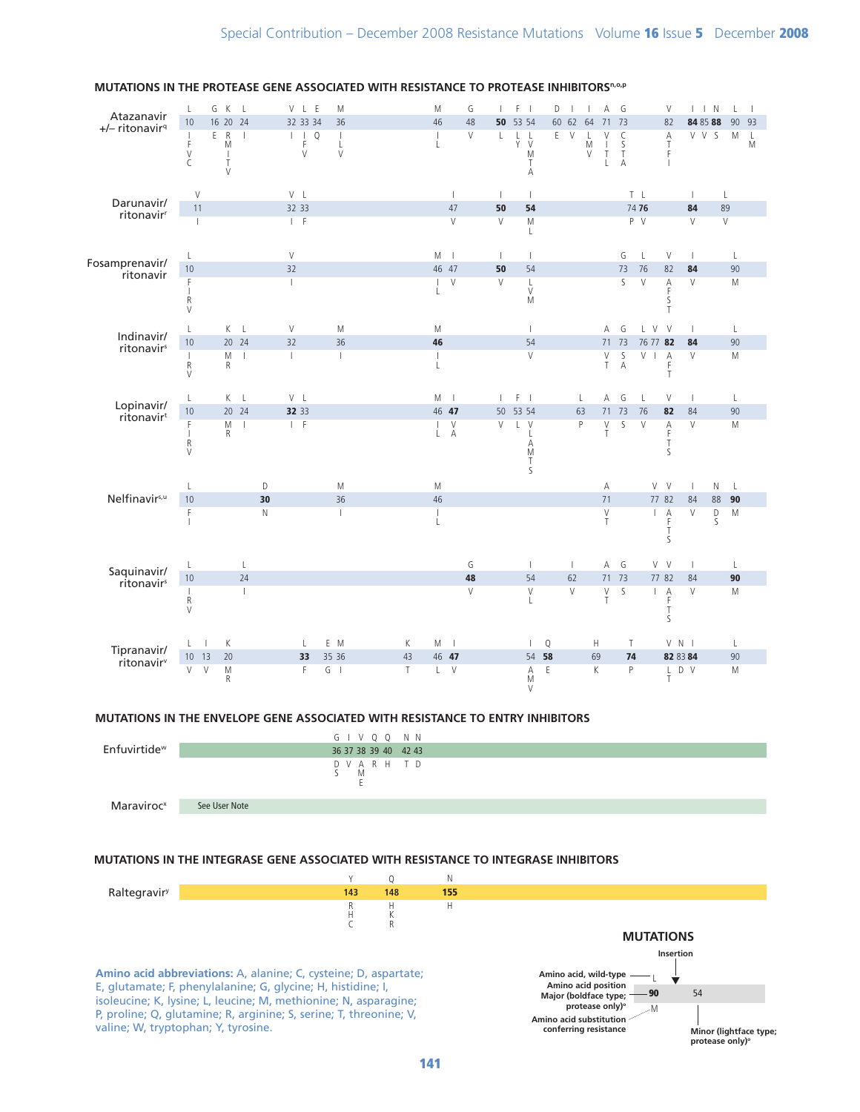

#### MUTATIONS IN THE PROTEASE GENE ASSOCIATED WITH RESISTANCE TO PROTEASE INHIBITORS"-0.P

#### MUTATIONS IN THE ENVELOPE GENE ASSOCIATED WITH RESISTANCE TO ENTRY INHIBITORS



#### MUTATIONS IN THE INTEGRASE GENE ASSOCIATED WITH RESISTANCE TO INTEGRASE INHIBITORS

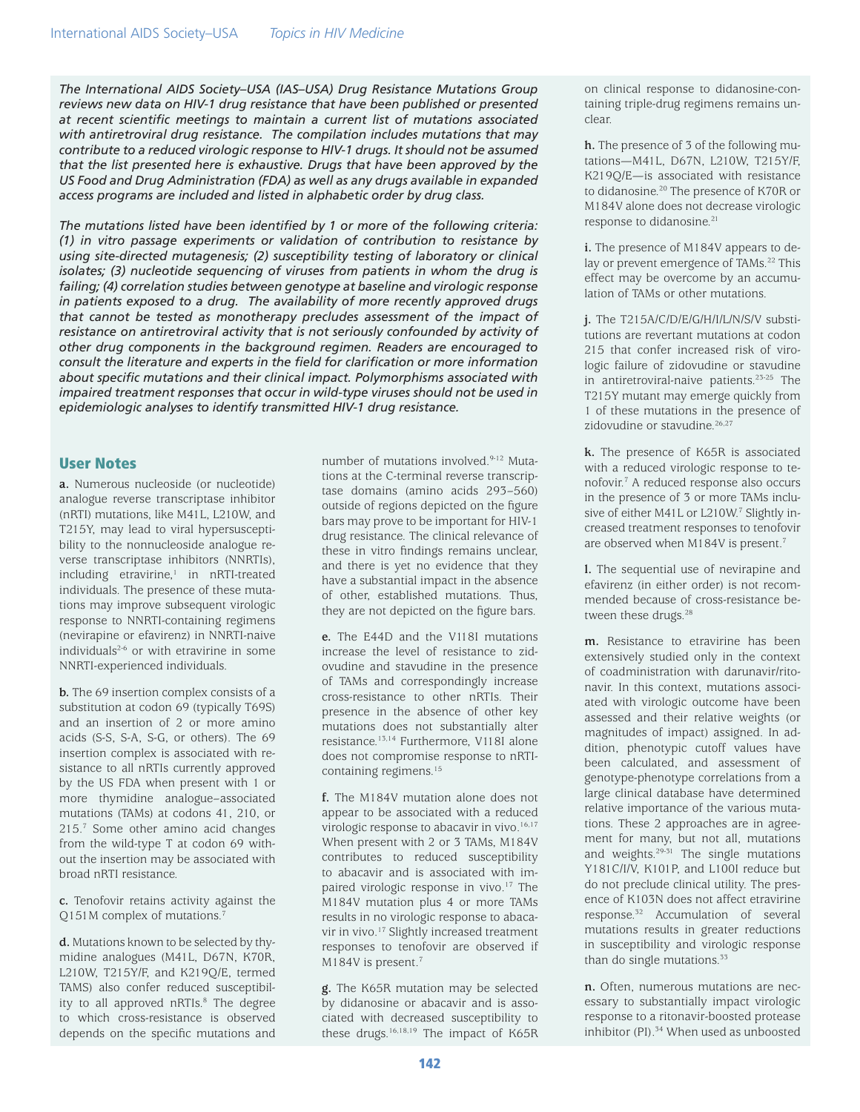*The International AIDS Society–USA (IAS–USA) Drug Resistance Mutations Group reviews new data on HIV-1 drug resistance that have been published or presented at recent scientific meetings to maintain a current list of mutations associated with antiretroviral drug resistance. The compilation includes mutations that may contribute to a reduced virologic response to HIV-1 drugs. It should not be assumed that the list presented here is exhaustive. Drugs that have been approved by the US Food and Drug Administration (FDA) as well as any drugs available in expanded access programs are included and listed in alphabetic order by drug class.* 

*The mutations listed have been identified by 1 or more of the following criteria: (1) in vitro passage experiments or validation of contribution to resistance by using site-directed mutagenesis; (2) susceptibility testing of laboratory or clinical*  isolates; (3) nucleotide sequencing of viruses from patients in whom the drug is *failing; (4) correlation studies between genotype at baseline and virologic response in patients exposed to a drug. The availability of more recently approved drugs*  that cannot be tested as monotherapy precludes assessment of the impact of *resistance on antiretroviral activity that is not seriously confounded by activity of other drug components in the background regimen. Readers are encouraged to consult the literature and experts in the field for clarification or more information about specific mutations and their clinical impact. Polymorphisms associated with impaired treatment responses that occur in wild-type viruses should not be used in epidemiologic analyses to identify transmitted HIV-1 drug resistance.*

### User Notes

**a.** Numerous nucleoside (or nucleotide) analogue reverse transcriptase inhibitor (nRTI) mutations, like M41L, L210W, and T215Y, may lead to viral hypersusceptibility to the nonnucleoside analogue reverse transcriptase inhibitors (NNRTIs), including etravirine,<sup>1</sup> in nRTI-treated individuals. The presence of these mutations may improve subsequent virologic response to NNRTI-containing regimens (nevirapine or efavirenz) in NNRTI-naive individuals<sup>2-6</sup> or with etravirine in some NNRTI-experienced individuals.

**b.** The 69 insertion complex consists of a substitution at codon 69 (typically T69S) and an insertion of 2 or more amino acids (S-S, S-A, S-G, or others). The 69 insertion complex is associated with resistance to all nRTIs currently approved by the US FDA when present with 1 or more thymidine analogue–associated mutations (TAMs) at codons 41, 210, or 215.7 Some other amino acid changes from the wild-type T at codon 69 without the insertion may be associated with broad nRTI resistance.

**c.** Tenofovir retains activity against the Q151M complex of mutations.<sup>7</sup>

**d.** Mutations known to be selected by thymidine analogues (M41L, D67N, K70R, L210W, T215Y/F, and K219Q/E, termed TAMS) also confer reduced susceptibility to all approved nRTIs.<sup>8</sup> The degree to which cross-resistance is observed depends on the specific mutations and

number of mutations involved.<sup>9-12</sup> Mutations at the C-terminal reverse transcriptase domains (amino acids 293–560) outside of regions depicted on the figure bars may prove to be important for HIV-1 drug resistance. The clinical relevance of these in vitro findings remains unclear, and there is yet no evidence that they have a substantial impact in the absence of other, established mutations. Thus, they are not depicted on the figure bars.

**e.** The E44D and the V118I mutations increase the level of resistance to zidovudine and stavudine in the presence of TAMs and correspondingly increase cross-resistance to other nRTIs. Their presence in the absence of other key mutations does not substantially alter resistance.13,14 Furthermore, V118I alone does not compromise response to nRTIcontaining regimens.<sup>15</sup>

**f.** The M184V mutation alone does not appear to be associated with a reduced virologic response to abacavir in vivo.<sup>16,17</sup> When present with 2 or 3 TAMs, M184V contributes to reduced susceptibility to abacavir and is associated with impaired virologic response in vivo.<sup>17</sup> The M184V mutation plus 4 or more TAMs results in no virologic response to abacavir in vivo.<sup>17</sup> Slightly increased treatment responses to tenofovir are observed if M184V is present.<sup>7</sup>

**g.** The K65R mutation may be selected by didanosine or abacavir and is associated with decreased susceptibility to these drugs.16,18,19 The impact of K65R

on clinical response to didanosine-containing triple-drug regimens remains unclear.

**h.** The presence of 3 of the following mutations—M41L, D67N, L210W, T215Y/F, K219Q/E—is associated with resistance to didanosine.<sup>20</sup> The presence of K70R or M184V alone does not decrease virologic response to didanosine.<sup>21</sup>

**i.** The presence of M184V appears to delay or prevent emergence of TAMs.<sup>22</sup> This effect may be overcome by an accumulation of TAMs or other mutations.

**j.** The T215A/C/D/E/G/H/I/L/N/S/V substitutions are revertant mutations at codon 215 that confer increased risk of virologic failure of zidovudine or stavudine in antiretroviral-naive patients.23-25 The T215Y mutant may emerge quickly from 1 of these mutations in the presence of zidovudine or stavudine.<sup>26,27</sup>

**k.** The presence of K65R is associated with a reduced virologic response to tenofovir.7 A reduced response also occurs in the presence of 3 or more TAMs inclusive of either M41L or L210W.7 Slightly increased treatment responses to tenofovir are observed when M184V is present.7

**l.** The sequential use of nevirapine and efavirenz (in either order) is not recommended because of cross-resistance between these drugs.<sup>28</sup>

**m.** Resistance to etravirine has been extensively studied only in the context of coadministration with darunavir/ritonavir. In this context, mutations associated with virologic outcome have been assessed and their relative weights (or magnitudes of impact) assigned. In addition, phenotypic cutoff values have been calculated, and assessment of genotype-phenotype correlations from a large clinical database have determined relative importance of the various mutations. These 2 approaches are in agreement for many, but not all, mutations and weights. $29-31$  The single mutations Y181C/I/V, K101P, and L100I reduce but do not preclude clinical utility. The presence of K103N does not affect etravirine response.32 Accumulation of several mutations results in greater reductions in susceptibility and virologic response than do single mutations. $33$ 

**n.** Often, numerous mutations are necessary to substantially impact virologic response to a ritonavir-boosted protease inhibitor (PI).<sup>34</sup> When used as unboosted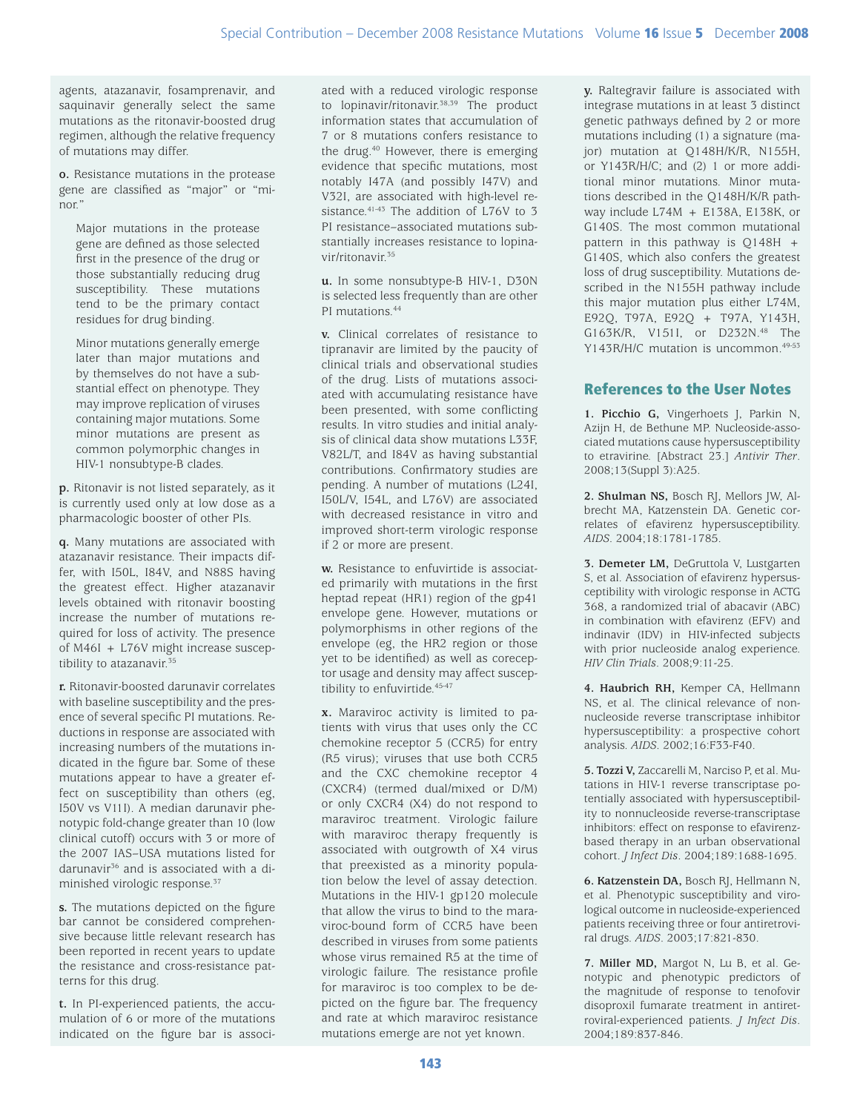agents, atazanavir, fosamprenavir, and saquinavir generally select the same mutations as the ritonavir-boosted drug regimen, although the relative frequency of mutations may differ.

**o.** Resistance mutations in the protease gene are classified as "major" or "minor."

Major mutations in the protease gene are defined as those selected first in the presence of the drug or those substantially reducing drug susceptibility. These mutations tend to be the primary contact residues for drug binding.

Minor mutations generally emerge later than major mutations and by themselves do not have a substantial effect on phenotype. They may improve replication of viruses containing major mutations. Some minor mutations are present as common polymorphic changes in HIV-1 nonsubtype-B clades.

**p.** Ritonavir is not listed separately, as it is currently used only at low dose as a pharmacologic booster of other PIs.

**q.** Many mutations are associated with atazanavir resistance. Their impacts differ, with I50L, I84V, and N88S having the greatest effect. Higher atazanavir levels obtained with ritonavir boosting increase the number of mutations required for loss of activity. The presence of M46I + L76V might increase susceptibility to atazanavir.<sup>35</sup>

**r.** Ritonavir-boosted darunavir correlates with baseline susceptibility and the presence of several specific PI mutations. Reductions in response are associated with increasing numbers of the mutations indicated in the figure bar. Some of these mutations appear to have a greater effect on susceptibility than others (eg, I50V vs V11I). A median darunavir phenotypic fold-change greater than 10 (low clinical cutoff) occurs with 3 or more of the 2007 IAS–USA mutations listed for darunavir36 and is associated with a diminished virologic response.37

**s.** The mutations depicted on the figure bar cannot be considered comprehensive because little relevant research has been reported in recent years to update the resistance and cross-resistance patterns for this drug.

**t.** In PI-experienced patients, the accumulation of 6 or more of the mutations indicated on the figure bar is associated with a reduced virologic response to lopinavir/ritonavir.<sup>38,39</sup> The product information states that accumulation of 7 or 8 mutations confers resistance to the drug.40 However, there is emerging evidence that specific mutations, most notably I47A (and possibly I47V) and V32I, are associated with high-level resistance.<sup>41-43</sup> The addition of L76V to 3 PI resistance–associated mutations substantially increases resistance to lopinavir/ritonavir.35

**u.** In some nonsubtype-B HIV-1, D30N is selected less frequently than are other PI mutations.<sup>44</sup>

**v.** Clinical correlates of resistance to tipranavir are limited by the paucity of clinical trials and observational studies of the drug. Lists of mutations associated with accumulating resistance have been presented, with some conflicting results. In vitro studies and initial analysis of clinical data show mutations L33F, V82L/T, and I84V as having substantial contributions. Confirmatory studies are pending. A number of mutations (L24I, I50L/V, I54L, and L76V) are associated with decreased resistance in vitro and improved short-term virologic response if 2 or more are present.

**w.** Resistance to enfuvirtide is associated primarily with mutations in the first heptad repeat (HR1) region of the gp41 envelope gene. However, mutations or polymorphisms in other regions of the envelope (eg, the HR2 region or those yet to be identified) as well as coreceptor usage and density may affect susceptibility to enfuvirtide. 45-47

**x.** Maraviroc activity is limited to patients with virus that uses only the CC chemokine receptor 5 (CCR5) for entry (R5 virus); viruses that use both CCR5 and the CXC chemokine receptor 4 (CXCR4) (termed dual/mixed or D/M) or only CXCR4 (X4) do not respond to maraviroc treatment. Virologic failure with maraviroc therapy frequently is associated with outgrowth of X4 virus that preexisted as a minority population below the level of assay detection. Mutations in the HIV-1 gp120 molecule that allow the virus to bind to the maraviroc-bound form of CCR5 have been described in viruses from some patients whose virus remained R5 at the time of virologic failure. The resistance profile for maraviroc is too complex to be depicted on the figure bar. The frequency and rate at which maraviroc resistance mutations emerge are not yet known.

**y.** Raltegravir failure is associated with integrase mutations in at least 3 distinct genetic pathways defined by 2 or more mutations including (1) a signature (major) mutation at Q148H/K/R, N155H, or Y143R/H/C; and (2) 1 or more additional minor mutations. Minor mutations described in the Q148H/K/R pathway include L74M + E138A, E138K, or G140S. The most common mutational pattern in this pathway is Q148H + G140S, which also confers the greatest loss of drug susceptibility. Mutations described in the N155H pathway include this major mutation plus either L74M, E92Q, T97A, E92Q + T97A, Y143H, G163K/R, V151I, or D232N.48 The Y143R/H/C mutation is uncommon.<sup>49-53</sup>

# References to the User Notes

**1. Picchio G,** Vingerhoets J, Parkin N, Azijn H, de Bethune MP. Nucleoside-associated mutations cause hypersusceptibility to etravirine. [Abstract 23.] *Antivir Ther*. 2008;13(Suppl 3):A25.

**2. Shulman NS,** Bosch RJ, Mellors JW, Albrecht MA, Katzenstein DA. Genetic correlates of efavirenz hypersusceptibility. *AIDS*. 2004;18:1781-1785.

**3. Demeter LM,** DeGruttola V, Lustgarten S, et al. Association of efavirenz hypersusceptibility with virologic response in ACTG 368, a randomized trial of abacavir (ABC) in combination with efavirenz (EFV) and indinavir (IDV) in HIV-infected subjects with prior nucleoside analog experience. *HIV Clin Trials*. 2008;9:11-25.

**4. Haubrich RH,** Kemper CA, Hellmann NS, et al. The clinical relevance of nonnucleoside reverse transcriptase inhibitor hypersusceptibility: a prospective cohort analysis. *AIDS*. 2002;16:F33-F40.

**5. Tozzi V,** Zaccarelli M, Narciso P, et al. Mutations in HIV-1 reverse transcriptase potentially associated with hypersusceptibility to nonnucleoside reverse-transcriptase inhibitors: effect on response to efavirenzbased therapy in an urban observational cohort. *J Infect Dis*. 2004;189:1688-1695.

**6. Katzenstein DA,** Bosch RJ, Hellmann N, et al. Phenotypic susceptibility and virological outcome in nucleoside-experienced patients receiving three or four antiretroviral drugs. *AIDS*. 2003;17:821-830.

**7. Miller MD,** Margot N, Lu B, et al. Genotypic and phenotypic predictors of the magnitude of response to tenofovir disoproxil fumarate treatment in antiretroviral-experienced patients. *J Infect Dis*. 2004;189:837-846.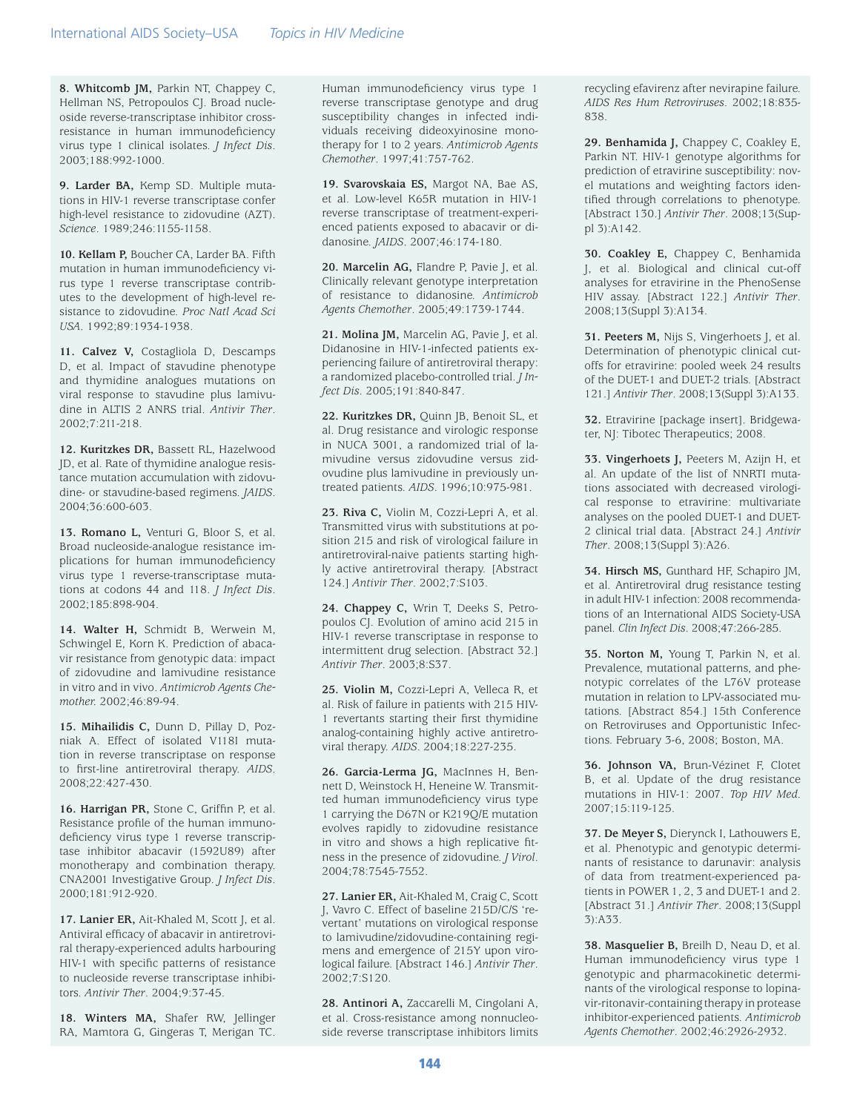**8. Whitcomb JM,** Parkin NT, Chappey C, Hellman NS, Petropoulos CJ. Broad nucleoside reverse-transcriptase inhibitor crossresistance in human immunodeficiency virus type 1 clinical isolates. *J Infect Dis*. 2003;188:992-1000.

**9. Larder BA,** Kemp SD. Multiple mutations in HIV-1 reverse transcriptase confer high-level resistance to zidovudine (AZT). *Science*. 1989;246:1155-1158.

**10. Kellam P,** Boucher CA, Larder BA. Fifth mutation in human immunodeficiency virus type 1 reverse transcriptase contributes to the development of high-level resistance to zidovudine. *Proc Natl Acad Sci USA*. 1992;89:1934-1938.

**11. Calvez V,** Costagliola D, Descamps D, et al. Impact of stavudine phenotype and thymidine analogues mutations on viral response to stavudine plus lamivudine in ALTIS 2 ANRS trial. *Antivir Ther*. 2002;7:211-218.

**12. Kuritzkes DR,** Bassett RL, Hazelwood JD, et al. Rate of thymidine analogue resistance mutation accumulation with zidovudine- or stavudine-based regimens. *JAIDS*. 2004;36:600-603.

**13. Romano L,** Venturi G, Bloor S, et al. Broad nucleoside-analogue resistance implications for human immunodeficiency virus type 1 reverse-transcriptase mutations at codons 44 and 118. *J Infect Dis*. 2002;185:898-904.

**14. Walter H,** Schmidt B, Werwein M, Schwingel E, Korn K. Prediction of abacavir resistance from genotypic data: impact of zidovudine and lamivudine resistance in vitro and in vivo. *Antimicrob Agents Chemother.* 2002;46:89-94.

**15. Mihailidis C,** Dunn D, Pillay D, Pozniak A. Effect of isolated V118I mutation in reverse transcriptase on response to first-line antiretroviral therapy. *AIDS*. 2008;22:427-430.

**16. Harrigan PR,** Stone C, Griffin P, et al. Resistance profile of the human immunodeficiency virus type 1 reverse transcriptase inhibitor abacavir (1592U89) after monotherapy and combination therapy. CNA2001 Investigative Group. *J Infect Dis*. 2000;181:912-920.

**17. Lanier ER,** Ait-Khaled M, Scott J, et al. Antiviral efficacy of abacavir in antiretroviral therapy-experienced adults harbouring HIV-1 with specific patterns of resistance to nucleoside reverse transcriptase inhibitors. *Antivir Ther*. 2004;9:37-45.

**18. Winters MA,** Shafer RW, Jellinger RA, Mamtora G, Gingeras T, Merigan TC.

Human immunodeficiency virus type 1 reverse transcriptase genotype and drug susceptibility changes in infected individuals receiving dideoxyinosine monotherapy for 1 to 2 years. *Antimicrob Agents Chemother*. 1997;41:757-762.

**19. Svarovskaia ES,** Margot NA, Bae AS, et al. Low-level K65R mutation in HIV-1 reverse transcriptase of treatment-experienced patients exposed to abacavir or didanosine. *JAIDS*. 2007;46:174-180.

**20. Marcelin AG,** Flandre P, Pavie J, et al. Clinically relevant genotype interpretation of resistance to didanosine. *Antimicrob Agents Chemother*. 2005;49:1739-1744.

**21. Molina JM,** Marcelin AG, Pavie J, et al. Didanosine in HIV-1-infected patients experiencing failure of antiretroviral therapy: a randomized placebo-controlled trial. *J Infect Dis*. 2005;191:840-847.

**22. Kuritzkes DR,** Quinn JB, Benoit SL, et al. Drug resistance and virologic response in NUCA 3001, a randomized trial of lamivudine versus zidovudine versus zidovudine plus lamivudine in previously untreated patients. *AIDS*. 1996;10:975-981.

**23. Riva C,** Violin M, Cozzi-Lepri A, et al. Transmitted virus with substitutions at position 215 and risk of virological failure in antiretroviral-naive patients starting highly active antiretroviral therapy. [Abstract 124.] *Antivir Ther*. 2002;7:S103.

**24. Chappey C,** Wrin T, Deeks S, Petropoulos CJ. Evolution of amino acid 215 in HIV-1 reverse transcriptase in response to intermittent drug selection. [Abstract 32.] *Antivir Ther*. 2003;8:S37.

**25. Violin M,** Cozzi-Lepri A, Velleca R, et al. Risk of failure in patients with 215 HIV-1 revertants starting their first thymidine analog-containing highly active antiretroviral therapy. *AIDS*. 2004;18:227-235.

**26. Garcia-Lerma JG,** MacInnes H, Bennett D, Weinstock H, Heneine W. Transmitted human immunodeficiency virus type 1 carrying the D67N or K219Q/E mutation evolves rapidly to zidovudine resistance in vitro and shows a high replicative fitness in the presence of zidovudine. *J Virol*. 2004;78:7545-7552.

**27. Lanier ER,** Ait-Khaled M, Craig C, Scott J, Vavro C. Effect of baseline 215D/C/S 'revertant' mutations on virological response to lamivudine/zidovudine-containing regimens and emergence of 215Y upon virological failure. [Abstract 146.] *Antivir Ther*. 2002;7:S120.

**28. Antinori A,** Zaccarelli M, Cingolani A, et al. Cross-resistance among nonnucleoside reverse transcriptase inhibitors limits recycling efavirenz after nevirapine failure. *AIDS Res Hum Retroviruses*. 2002;18:835- 838.

**29. Benhamida J,** Chappey C, Coakley E, Parkin NT. HIV-1 genotype algorithms for prediction of etravirine susceptibility: novel mutations and weighting factors identified through correlations to phenotype. [Abstract 130.] *Antivir Ther*. 2008;13(Suppl 3):A142.

**30. Coakley E,** Chappey C, Benhamida J, et al. Biological and clinical cut-off analyses for etravirine in the PhenoSense HIV assay. [Abstract 122.] *Antivir Ther*. 2008;13(Suppl 3):A134.

**31. Peeters M,** Nijs S, Vingerhoets J, et al. Determination of phenotypic clinical cutoffs for etravirine: pooled week 24 results of the DUET-1 and DUET-2 trials. [Abstract 121.] *Antivir Ther*. 2008;13(Suppl 3):A133.

**32.** Etravirine [package insert]. Bridgewater, NJ: Tibotec Therapeutics; 2008.

**33. Vingerhoets J,** Peeters M, Azijn H, et al. An update of the list of NNRTI mutations associated with decreased virological response to etravirine: multivariate analyses on the pooled DUET-1 and DUET-2 clinical trial data. [Abstract 24.] *Antivir Ther*. 2008;13(Suppl 3):A26.

**34. Hirsch MS,** Gunthard HF, Schapiro JM, et al. Antiretroviral drug resistance testing in adult HIV-1 infection: 2008 recommendations of an International AIDS Society-USA panel. *Clin Infect Dis*. 2008;47:266-285.

**35. Norton M,** Young T, Parkin N, et al. Prevalence, mutational patterns, and phenotypic correlates of the L76V protease mutation in relation to LPV-associated mutations. [Abstract 854.] 15th Conference on Retroviruses and Opportunistic Infections. February 3-6, 2008; Boston, MA.

**36. Johnson VA,** Brun-Vézinet F, Clotet B, et al. Update of the drug resistance mutations in HIV-1: 2007. *Top HIV Med*. 2007;15:119-125.

**37. De Meyer S,** Dierynck I, Lathouwers E, et al. Phenotypic and genotypic determinants of resistance to darunavir: analysis of data from treatment-experienced patients in POWER 1, 2, 3 and DUET-1 and 2. [Abstract 31.] *Antivir Ther*. 2008;13(Suppl 3):A33.

**38. Masquelier B,** Breilh D, Neau D, et al. Human immunodeficiency virus type 1 genotypic and pharmacokinetic determinants of the virological response to lopinavir-ritonavir-containing therapy in protease inhibitor-experienced patients. *Antimicrob Agents Chemother*. 2002;46:2926-2932.